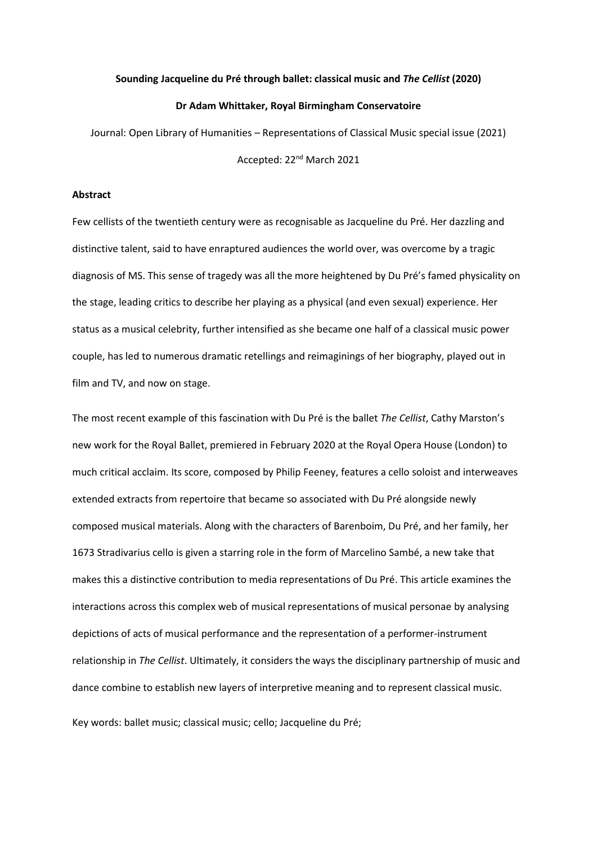### **Sounding Jacqueline du Pré through ballet: classical music and** *The Cellist* **(2020)**

### **Dr Adam Whittaker, Royal Birmingham Conservatoire**

Journal: Open Library of Humanities – Representations of Classical Music special issue (2021) Accepted: 22nd March 2021

## **Abstract**

Few cellists of the twentieth century were as recognisable as Jacqueline du Pré. Her dazzling and distinctive talent, said to have enraptured audiences the world over, was overcome by a tragic diagnosis of MS. This sense of tragedy was all the more heightened by Du Pré's famed physicality on the stage, leading critics to describe her playing as a physical (and even sexual) experience. Her status as a musical celebrity, further intensified as she became one half of a classical music power couple, has led to numerous dramatic retellings and reimaginings of her biography, played out in film and TV, and now on stage.

The most recent example of this fascination with Du Pré is the ballet *The Cellist*, Cathy Marston's new work for the Royal Ballet, premiered in February 2020 at the Royal Opera House (London) to much critical acclaim. Its score, composed by Philip Feeney, features a cello soloist and interweaves extended extracts from repertoire that became so associated with Du Pré alongside newly composed musical materials. Along with the characters of Barenboim, Du Pré, and her family, her 1673 Stradivarius cello is given a starring role in the form of Marcelino Sambé, a new take that makes this a distinctive contribution to media representations of Du Pré. This article examines the interactions across this complex web of musical representations of musical personae by analysing depictions of acts of musical performance and the representation of a performer-instrument relationship in *The Cellist*. Ultimately, it considers the ways the disciplinary partnership of music and dance combine to establish new layers of interpretive meaning and to represent classical music.

Key words: ballet music; classical music; cello; Jacqueline du Pré;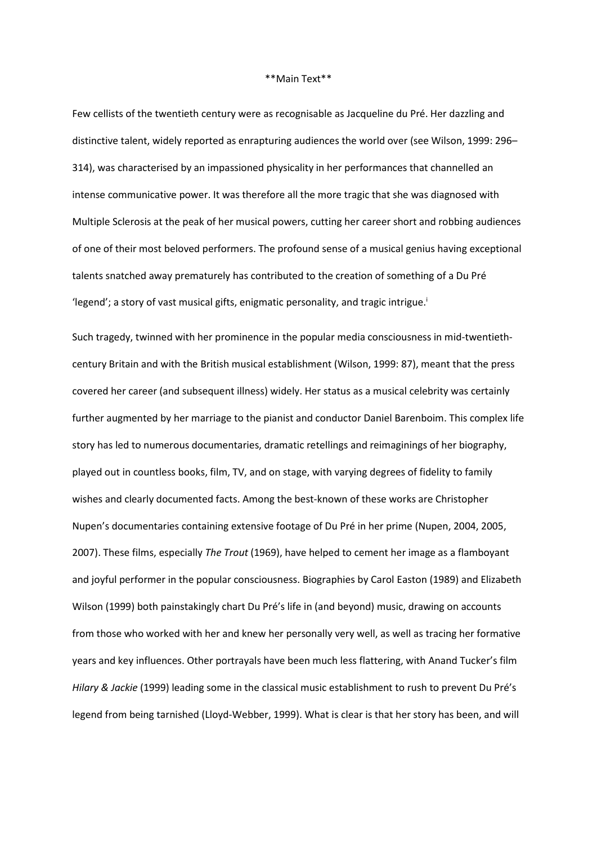#### \*\*Main Text\*\*

Few cellists of the twentieth century were as recognisable as Jacqueline du Pré. Her dazzling and distinctive talent, widely reported as enrapturing audiences the world over (see Wilson, 1999: 296– 314), was characterised by an impassioned physicality in her performances that channelled an intense communicative power. It was therefore all the more tragic that she was diagnosed with Multiple Sclerosis at the peak of her musical powers, cutting her career short and robbing audiences of one of their most beloved performers. The profound sense of a musical genius having exceptional talents snatched away prematurely has contributed to the creation of something of a Du Pré 'legend'; a story of vast musical gifts, enigmatic personality, and tragic intrigue.<sup>i</sup>

Such tragedy, twinned with her prominence in the popular media consciousness in mid-twentiethcentury Britain and with the British musical establishment (Wilson, 1999: 87), meant that the press covered her career (and subsequent illness) widely. Her status as a musical celebrity was certainly further augmented by her marriage to the pianist and conductor Daniel Barenboim. This complex life story has led to numerous documentaries, dramatic retellings and reimaginings of her biography, played out in countless books, film, TV, and on stage, with varying degrees of fidelity to family wishes and clearly documented facts. Among the best-known of these works are Christopher Nupen's documentaries containing extensive footage of Du Pré in her prime (Nupen, 2004, 2005, 2007). These films, especially *The Trout* (1969), have helped to cement her image as a flamboyant and joyful performer in the popular consciousness. Biographies by Carol Easton (1989) and Elizabeth Wilson (1999) both painstakingly chart Du Pré's life in (and beyond) music, drawing on accounts from those who worked with her and knew her personally very well, as well as tracing her formative years and key influences. Other portrayals have been much less flattering, with Anand Tucker's film *Hilary & Jackie* (1999) leading some in the classical music establishment to rush to prevent Du Pré's legend from being tarnished (Lloyd-Webber, 1999). What is clear is that her story has been, and will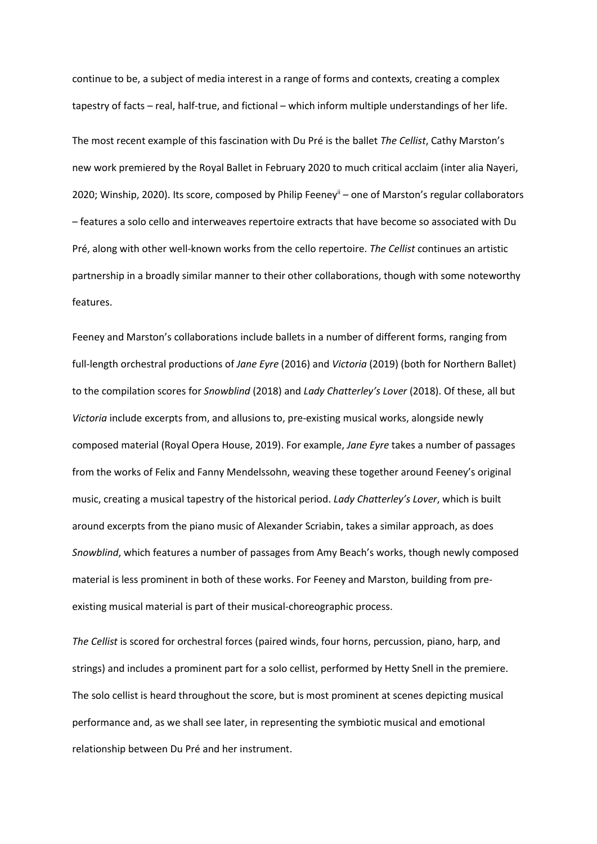continue to be, a subject of media interest in a range of forms and contexts, creating a complex tapestry of facts – real, half-true, and fictional – which inform multiple understandings of her life. The most recent example of this fascination with Du Pré is the ballet *The Cellist*, Cathy Marston's new work premiered by the Royal Ballet in February 2020 to much critical acclaim (inter alia Nayeri, 2020; Winship, 2020). Its score, composed by Philip Feeney<sup>ii</sup> – one of Marston's regular collaborators – features a solo cello and interweaves repertoire extracts that have become so associated with Du Pré, along with other well-known works from the cello repertoire. *The Cellist* continues an artistic partnership in a broadly similar manner to their other collaborations, though with some noteworthy features.

Feeney and Marston's collaborations include ballets in a number of different forms, ranging from full-length orchestral productions of *Jane Eyre* (2016) and *Victoria* (2019) (both for Northern Ballet) to the compilation scores for *Snowblind* (2018) and *Lady Chatterley's Lover* (2018). Of these, all but *Victoria* include excerpts from, and allusions to, pre-existing musical works, alongside newly composed material (Royal Opera House, 2019). For example, *Jane Eyre* takes a number of passages from the works of Felix and Fanny Mendelssohn, weaving these together around Feeney's original music, creating a musical tapestry of the historical period. *Lady Chatterley's Lover*, which is built around excerpts from the piano music of Alexander Scriabin, takes a similar approach, as does *Snowblind*, which features a number of passages from Amy Beach's works, though newly composed material is less prominent in both of these works. For Feeney and Marston, building from preexisting musical material is part of their musical-choreographic process.

*The Cellist* is scored for orchestral forces (paired winds, four horns, percussion, piano, harp, and strings) and includes a prominent part for a solo cellist, performed by Hetty Snell in the premiere. The solo cellist is heard throughout the score, but is most prominent at scenes depicting musical performance and, as we shall see later, in representing the symbiotic musical and emotional relationship between Du Pré and her instrument.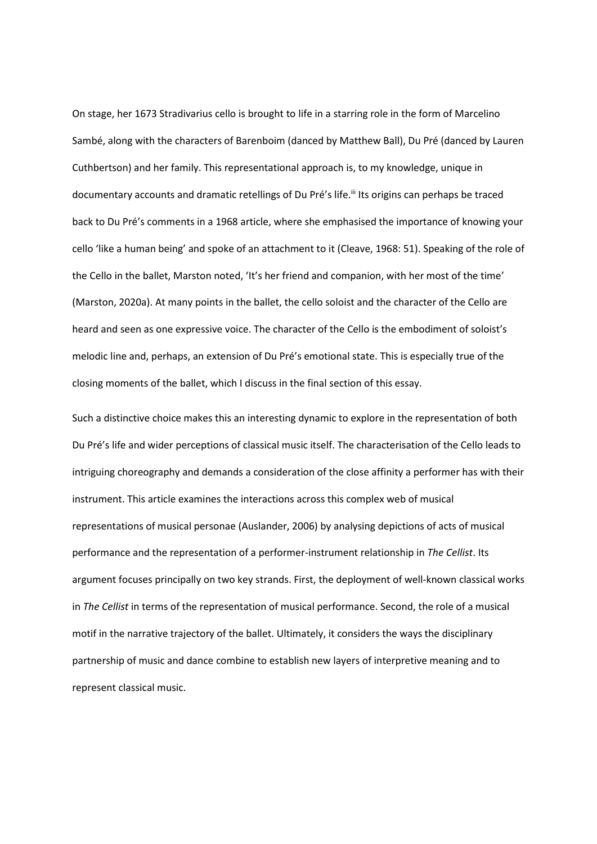On stage, her 1673 Stradivarius cello is brought to life in a starring role in the form of Marcelino Sambé, along with the characters of Barenboim (danced by Matthew Ball), Du Pré (danced by Lauren Cuthbertson) and her family. This representational approach is, to my knowledge, unique in documentary accounts and dramatic retellings of Du Pré's life.<sup>iii</sup> Its origins can perhaps be traced back to Du Pré's comments in a 1968 article, where she emphasised the importance of knowing your cello 'like a human being' and spoke of an attachment to it (Cleave, 1968: 51). Speaking of the role of the Cello in the ballet, Marston noted, 'It's her friend and companion, with her most of the time' (Marston, 2020a). At many points in the ballet, the cello soloist and the character of the Cello are heard and seen as one expressive voice. The character of the Cello is the embodiment of soloist's melodic line and, perhaps, an extension of Du Pré's emotional state. This is especially true of the closing moments of the ballet, which I discuss in the final section of this essay.

Such a distinctive choice makes this an interesting dynamic to explore in the representation of both Du Pré's life and wider perceptions of classical music itself. The characterisation of the Cello leads to intriguing choreography and demands a consideration of the close affinity a performer has with their instrument. This article examines the interactions across this complex web of musical representations of musical personae (Auslander, 2006) by analysing depictions of acts of musical performance and the representation of a performer-instrument relationship in *The Cellist*. Its argument focuses principally on two key strands. First, the deployment of well-known classical works in *The Cellist* in terms of the representation of musical performance. Second, the role of a musical motif in the narrative trajectory of the ballet. Ultimately, it considers the ways the disciplinary partnership of music and dance combine to establish new layers of interpretive meaning and to represent classical music.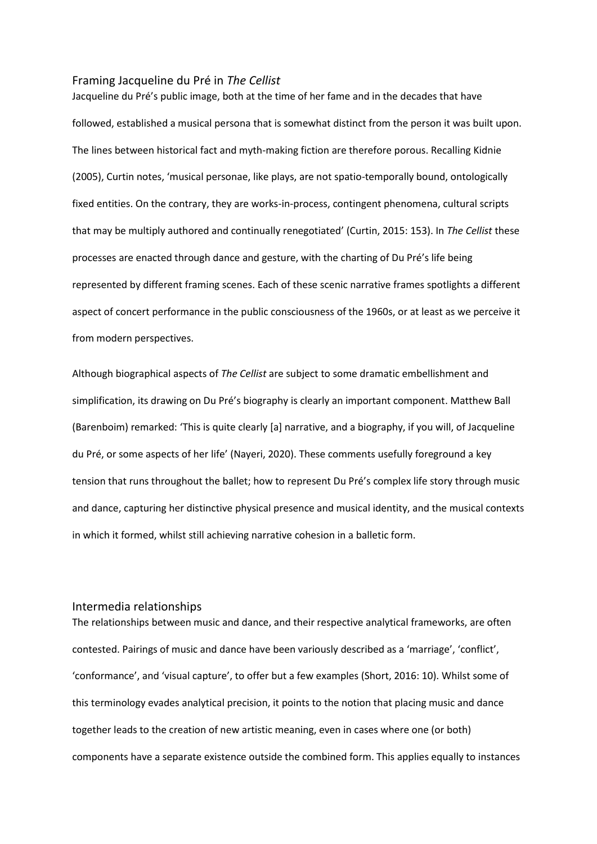### Framing Jacqueline du Pré in *The Cellist*

Jacqueline du Pré's public image, both at the time of her fame and in the decades that have followed, established a musical persona that is somewhat distinct from the person it was built upon. The lines between historical fact and myth-making fiction are therefore porous. Recalling Kidnie (2005), Curtin notes, 'musical personae, like plays, are not spatio-temporally bound, ontologically fixed entities. On the contrary, they are works-in-process, contingent phenomena, cultural scripts that may be multiply authored and continually renegotiated' (Curtin, 2015: 153). In *The Cellist* these processes are enacted through dance and gesture, with the charting of Du Pré's life being represented by different framing scenes. Each of these scenic narrative frames spotlights a different aspect of concert performance in the public consciousness of the 1960s, or at least as we perceive it from modern perspectives.

Although biographical aspects of *The Cellist* are subject to some dramatic embellishment and simplification, its drawing on Du Pré's biography is clearly an important component. Matthew Ball (Barenboim) remarked: 'This is quite clearly [a] narrative, and a biography, if you will, of Jacqueline du Pré, or some aspects of her life' (Nayeri, 2020). These comments usefully foreground a key tension that runs throughout the ballet; how to represent Du Pré's complex life story through music and dance, capturing her distinctive physical presence and musical identity, and the musical contexts in which it formed, whilst still achieving narrative cohesion in a balletic form.

## Intermedia relationships

The relationships between music and dance, and their respective analytical frameworks, are often contested. Pairings of music and dance have been variously described as a 'marriage', 'conflict', 'conformance', and 'visual capture', to offer but a few examples (Short, 2016: 10). Whilst some of this terminology evades analytical precision, it points to the notion that placing music and dance together leads to the creation of new artistic meaning, even in cases where one (or both) components have a separate existence outside the combined form. This applies equally to instances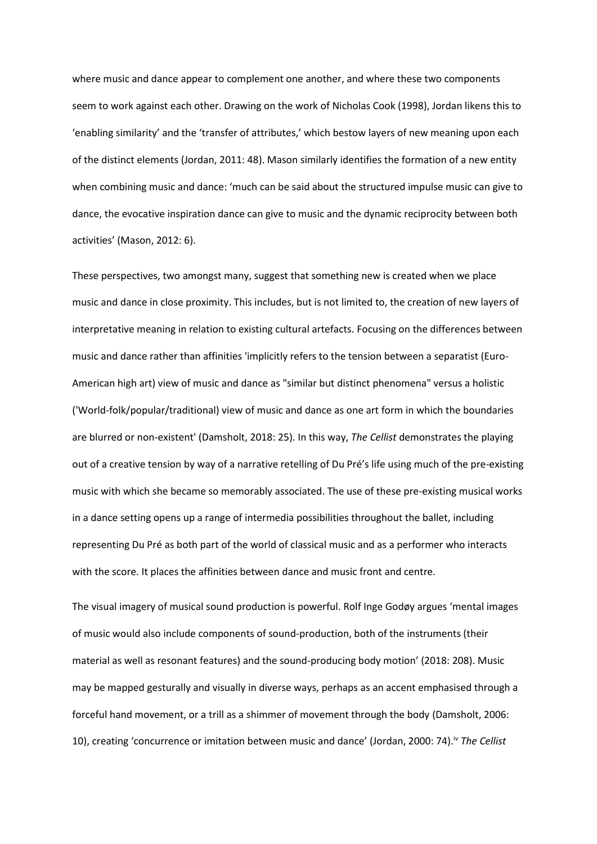where music and dance appear to complement one another, and where these two components seem to work against each other. Drawing on the work of Nicholas Cook (1998), Jordan likens this to 'enabling similarity' and the 'transfer of attributes,' which bestow layers of new meaning upon each of the distinct elements (Jordan, 2011: 48). Mason similarly identifies the formation of a new entity when combining music and dance: 'much can be said about the structured impulse music can give to dance, the evocative inspiration dance can give to music and the dynamic reciprocity between both activities' (Mason, 2012: 6).

These perspectives, two amongst many, suggest that something new is created when we place music and dance in close proximity. This includes, but is not limited to, the creation of new layers of interpretative meaning in relation to existing cultural artefacts. Focusing on the differences between music and dance rather than affinities 'implicitly refers to the tension between a separatist (Euro-American high art) view of music and dance as "similar but distinct phenomena" versus a holistic ('World-folk/popular/traditional) view of music and dance as one art form in which the boundaries are blurred or non-existent' (Damsholt, 2018: 25). In this way, *The Cellist* demonstrates the playing out of a creative tension by way of a narrative retelling of Du Pré's life using much of the pre-existing music with which she became so memorably associated. The use of these pre-existing musical works in a dance setting opens up a range of intermedia possibilities throughout the ballet, including representing Du Pré as both part of the world of classical music and as a performer who interacts with the score. It places the affinities between dance and music front and centre.

The visual imagery of musical sound production is powerful. Rolf Inge Godøy argues 'mental images of music would also include components of sound-production, both of the instruments (their material as well as resonant features) and the sound-producing body motion' (2018: 208). Music may be mapped gesturally and visually in diverse ways, perhaps as an accent emphasised through a forceful hand movement, or a trill as a shimmer of movement through the body (Damsholt, 2006: 10), creating 'concurrence or imitation between music and dance' (Jordan, 2000: 74). iv *The Cellist*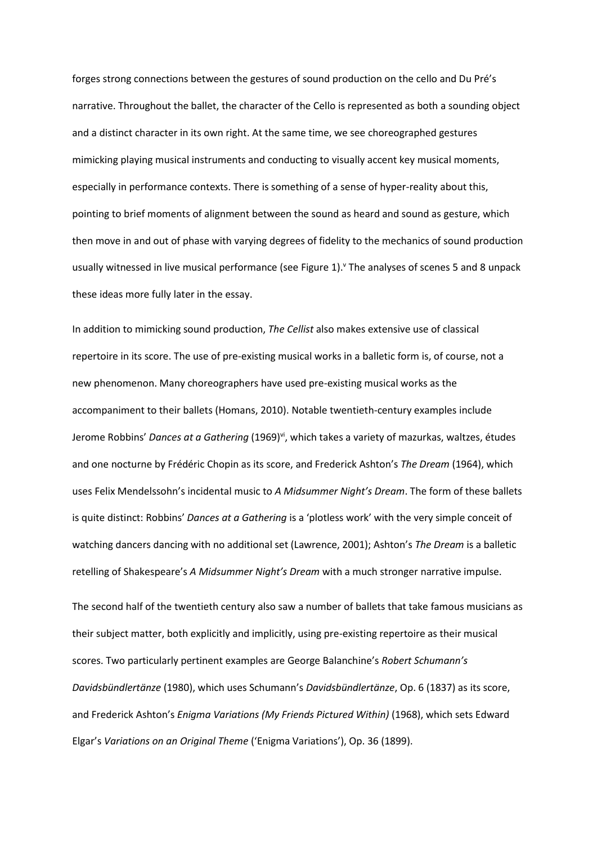forges strong connections between the gestures of sound production on the cello and Du Pré's narrative. Throughout the ballet, the character of the Cello is represented as both a sounding object and a distinct character in its own right. At the same time, we see choreographed gestures mimicking playing musical instruments and conducting to visually accent key musical moments, especially in performance contexts. There is something of a sense of hyper-reality about this, pointing to brief moments of alignment between the sound as heard and sound as gesture, which then move in and out of phase with varying degrees of fidelity to the mechanics of sound production usually witnessed in live musical performance (see [Figure 1\)](#page-11-0). The analyses of scenes 5 and 8 unpack these ideas more fully later in the essay.

In addition to mimicking sound production, *The Cellist* also makes extensive use of classical repertoire in its score. The use of pre-existing musical works in a balletic form is, of course, not a new phenomenon. Many choreographers have used pre-existing musical works as the accompaniment to their ballets (Homans, 2010). Notable twentieth-century examples include Jerome Robbins' *Dances at a Gathering* (1969)<sup>vi</sup>, which takes a variety of mazurkas, waltzes, études and one nocturne by Frédéric Chopin as its score, and Frederick Ashton's *The Dream* (1964), which uses Felix Mendelssohn's incidental music to *A Midsummer Night's Dream*. The form of these ballets is quite distinct: Robbins' *Dances at a Gathering* is a 'plotless work' with the very simple conceit of watching dancers dancing with no additional set (Lawrence, 2001); Ashton's *The Dream* is a balletic retelling of Shakespeare's *A Midsummer Night's Dream* with a much stronger narrative impulse.

The second half of the twentieth century also saw a number of ballets that take famous musicians as their subject matter, both explicitly and implicitly, using pre-existing repertoire as their musical scores. Two particularly pertinent examples are George Balanchine's *Robert Schumann's Davidsbündlertänze* (1980), which uses Schumann's *Davidsbündlertänze*, Op. 6 (1837) as its score, and Frederick Ashton's *Enigma Variations (My Friends Pictured Within)* (1968), which sets Edward Elgar's *Variations on an Original Theme* ('Enigma Variations'), Op. 36 (1899).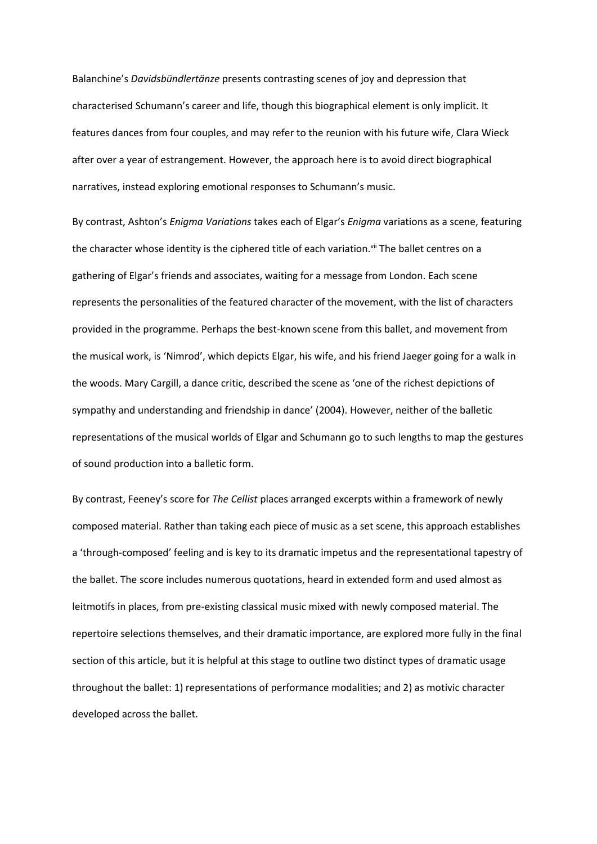Balanchine's *Davidsbündlertänze* presents contrasting scenes of joy and depression that characterised Schumann's career and life, though this biographical element is only implicit. It features dances from four couples, and may refer to the reunion with his future wife, Clara Wieck after over a year of estrangement. However, the approach here is to avoid direct biographical narratives, instead exploring emotional responses to Schumann's music.

By contrast, Ashton's *Enigma Variations* takes each of Elgar's *Enigma* variations as a scene, featuring the character whose identity is the ciphered title of each variation.<sup>vii</sup> The ballet centres on a gathering of Elgar's friends and associates, waiting for a message from London. Each scene represents the personalities of the featured character of the movement, with the list of characters provided in the programme. Perhaps the best-known scene from this ballet, and movement from the musical work, is 'Nimrod', which depicts Elgar, his wife, and his friend Jaeger going for a walk in the woods. Mary Cargill, a dance critic, described the scene as 'one of the richest depictions of sympathy and understanding and friendship in dance' (2004). However, neither of the balletic representations of the musical worlds of Elgar and Schumann go to such lengths to map the gestures of sound production into a balletic form.

By contrast, Feeney's score for *The Cellist* places arranged excerpts within a framework of newly composed material. Rather than taking each piece of music as a set scene, this approach establishes a 'through-composed' feeling and is key to its dramatic impetus and the representational tapestry of the ballet. The score includes numerous quotations, heard in extended form and used almost as leitmotifs in places, from pre-existing classical music mixed with newly composed material. The repertoire selections themselves, and their dramatic importance, are explored more fully in the final section of this article, but it is helpful at this stage to outline two distinct types of dramatic usage throughout the ballet: 1) representations of performance modalities; and 2) as motivic character developed across the ballet.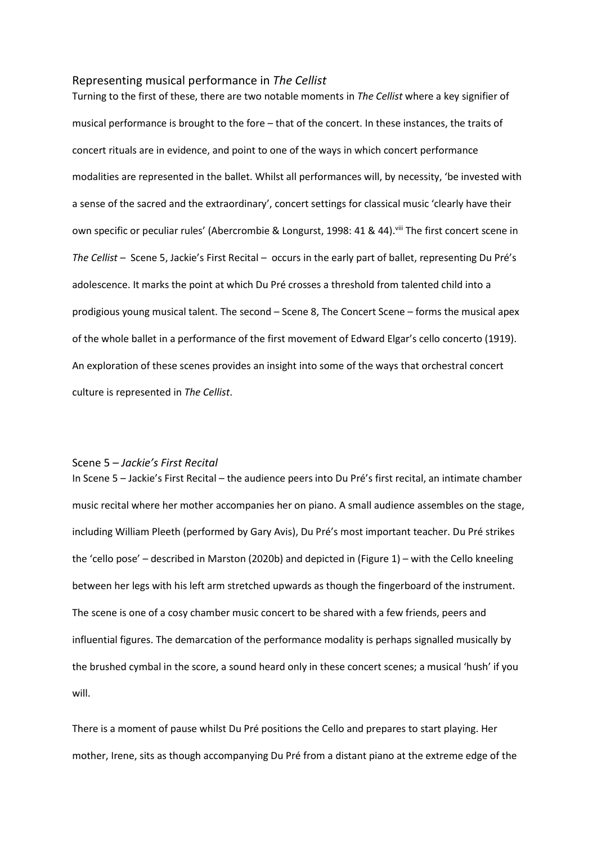### Representing musical performance in *The Cellist*

Turning to the first of these, there are two notable moments in *The Cellist* where a key signifier of musical performance is brought to the fore – that of the concert. In these instances, the traits of concert rituals are in evidence, and point to one of the ways in which concert performance modalities are represented in the ballet. Whilst all performances will, by necessity, 'be invested with a sense of the sacred and the extraordinary', concert settings for classical music 'clearly have their own specific or peculiar rules' (Abercrombie & Longurst, 1998: 41 & 44). Vill The first concert scene in *The Cellist* – Scene 5, Jackie's First Recital – occurs in the early part of ballet, representing Du Pré's adolescence. It marks the point at which Du Pré crosses a threshold from talented child into a prodigious young musical talent. The second – Scene 8, The Concert Scene – forms the musical apex of the whole ballet in a performance of the first movement of Edward Elgar's cello concerto (1919). An exploration of these scenes provides an insight into some of the ways that orchestral concert culture is represented in *The Cellist*.

## Scene 5 – *Jackie's First Recital*

In Scene 5 – Jackie's First Recital – the audience peers into Du Pré's first recital, an intimate chamber music recital where her mother accompanies her on piano. A small audience assembles on the stage, including William Pleeth (performed by Gary Avis), Du Pré's most important teacher. Du Pré strikes the 'cello pose' – described in Marston (2020b) and depicted in (Figure 1) – with the Cello kneeling between her legs with his left arm stretched upwards as though the fingerboard of the instrument. The scene is one of a cosy chamber music concert to be shared with a few friends, peers and influential figures. The demarcation of the performance modality is perhaps signalled musically by the brushed cymbal in the score, a sound heard only in these concert scenes; a musical 'hush' if you will.

There is a moment of pause whilst Du Pré positions the Cello and prepares to start playing. Her mother, Irene, sits as though accompanying Du Pré from a distant piano at the extreme edge of the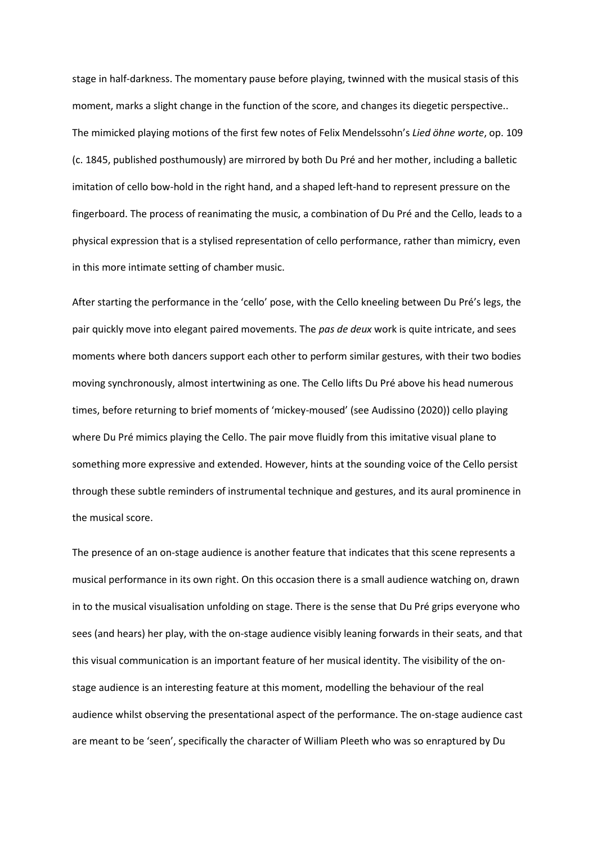stage in half-darkness. The momentary pause before playing, twinned with the musical stasis of this moment, marks a slight change in the function of the score, and changes its diegetic perspective.. The mimicked playing motions of the first few notes of Felix Mendelssohn's *Lied öhne worte*, op. 109 (c. 1845, published posthumously) are mirrored by both Du Pré and her mother, including a balletic imitation of cello bow-hold in the right hand, and a shaped left-hand to represent pressure on the fingerboard. The process of reanimating the music, a combination of Du Pré and the Cello, leads to a physical expression that is a stylised representation of cello performance, rather than mimicry, even in this more intimate setting of chamber music.

After starting the performance in the 'cello' pose, with the Cello kneeling between Du Pré's legs, the pair quickly move into elegant paired movements. The *pas de deux* work is quite intricate, and sees moments where both dancers support each other to perform similar gestures, with their two bodies moving synchronously, almost intertwining as one. The Cello lifts Du Pré above his head numerous times, before returning to brief moments of 'mickey-moused' (see Audissino (2020)) cello playing where Du Pré mimics playing the Cello. The pair move fluidly from this imitative visual plane to something more expressive and extended. However, hints at the sounding voice of the Cello persist through these subtle reminders of instrumental technique and gestures, and its aural prominence in the musical score.

The presence of an on-stage audience is another feature that indicates that this scene represents a musical performance in its own right. On this occasion there is a small audience watching on, drawn in to the musical visualisation unfolding on stage. There is the sense that Du Pré grips everyone who sees (and hears) her play, with the on-stage audience visibly leaning forwards in their seats, and that this visual communication is an important feature of her musical identity. The visibility of the onstage audience is an interesting feature at this moment, modelling the behaviour of the real audience whilst observing the presentational aspect of the performance. The on-stage audience cast are meant to be 'seen', specifically the character of William Pleeth who was so enraptured by Du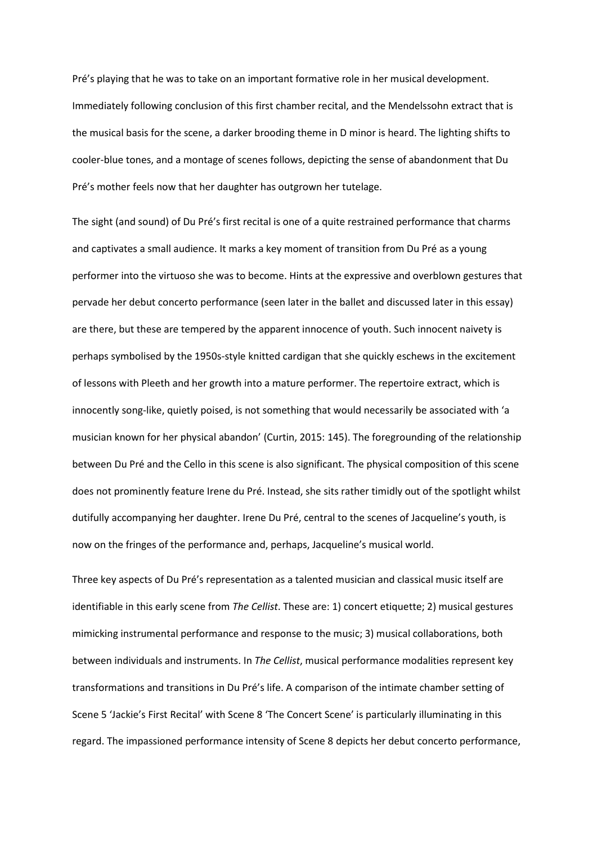Pré's playing that he was to take on an important formative role in her musical development. Immediately following conclusion of this first chamber recital, and the Mendelssohn extract that is the musical basis for the scene, a darker brooding theme in D minor is heard. The lighting shifts to cooler-blue tones, and a montage of scenes follows, depicting the sense of abandonment that Du Pré's mother feels now that her daughter has outgrown her tutelage.

The sight (and sound) of Du Pré's first recital is one of a quite restrained performance that charms and captivates a small audience. It marks a key moment of transition from Du Pré as a young performer into the virtuoso she was to become. Hints at the expressive and overblown gestures that pervade her debut concerto performance (seen later in the ballet and discussed later in this essay) are there, but these are tempered by the apparent innocence of youth. Such innocent naivety is perhaps symbolised by the 1950s-style knitted cardigan that she quickly eschews in the excitement of lessons with Pleeth and her growth into a mature performer. The repertoire extract, which is innocently song-like, quietly poised, is not something that would necessarily be associated with 'a musician known for her physical abandon' (Curtin, 2015: 145). The foregrounding of the relationship between Du Pré and the Cello in this scene is also significant. The physical composition of this scene does not prominently feature Irene du Pré. Instead, she sits rather timidly out of the spotlight whilst dutifully accompanying her daughter. Irene Du Pré, central to the scenes of Jacqueline's youth, is now on the fringes of the performance and, perhaps, Jacqueline's musical world.

Three key aspects of Du Pré's representation as a talented musician and classical music itself are identifiable in this early scene from *The Cellist*. These are: 1) concert etiquette; 2) musical gestures mimicking instrumental performance and response to the music; 3) musical collaborations, both between individuals and instruments. In *The Cellist*, musical performance modalities represent key transformations and transitions in Du Pré's life. A comparison of the intimate chamber setting of Scene 5 'Jackie's First Recital' with Scene 8 'The Concert Scene' is particularly illuminating in this regard. The impassioned performance intensity of Scene 8 depicts her debut concerto performance,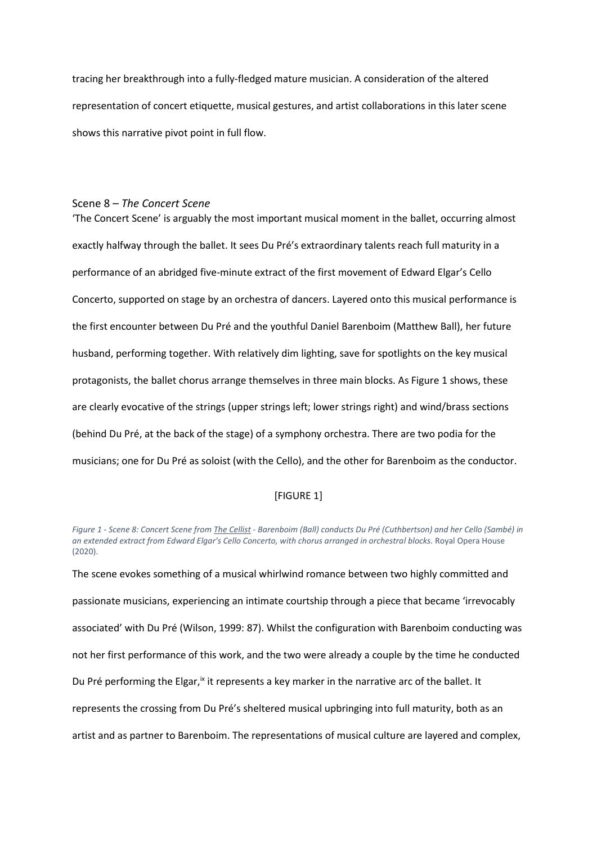tracing her breakthrough into a fully-fledged mature musician. A consideration of the altered representation of concert etiquette, musical gestures, and artist collaborations in this later scene shows this narrative pivot point in full flow.

# Scene 8 – *The Concert Scene*

'The Concert Scene' is arguably the most important musical moment in the ballet, occurring almost exactly halfway through the ballet. It sees Du Pré's extraordinary talents reach full maturity in a performance of an abridged five-minute extract of the first movement of Edward Elgar's Cello Concerto, supported on stage by an orchestra of dancers. Layered onto this musical performance is the first encounter between Du Pré and the youthful Daniel Barenboim (Matthew Ball), her future husband, performing together. With relatively dim lighting, save for spotlights on the key musical protagonists, the ballet chorus arrange themselves in three main blocks. As Figure 1 shows, these are clearly evocative of the strings (upper strings left; lower strings right) and wind/brass sections (behind Du Pré, at the back of the stage) of a symphony orchestra. There are two podia for the musicians; one for Du Pré as soloist (with the Cello), and the other for Barenboim as the conductor.

# [FIGURE 1]

The scene evokes something of a musical whirlwind romance between two highly committed and passionate musicians, experiencing an intimate courtship through a piece that became 'irrevocably associated' with Du Pré (Wilson, 1999: 87). Whilst the configuration with Barenboim conducting was not her first performance of this work, and the two were already a couple by the time he conducted Du Pré performing the Elgar,<sup>ix</sup> it represents a key marker in the narrative arc of the ballet. It represents the crossing from Du Pré's sheltered musical upbringing into full maturity, both as an artist and as partner to Barenboim. The representations of musical culture are layered and complex,

<span id="page-11-0"></span>*Figure 1 - Scene 8: Concert Scene from The Cellist - Barenboim (Ball) conducts Du Pré (Cuthbertson) and her Cello (Sambé) in an extended extract from Edward Elgar's Cello Concerto, with chorus arranged in orchestral blocks.* Royal Opera House (2020).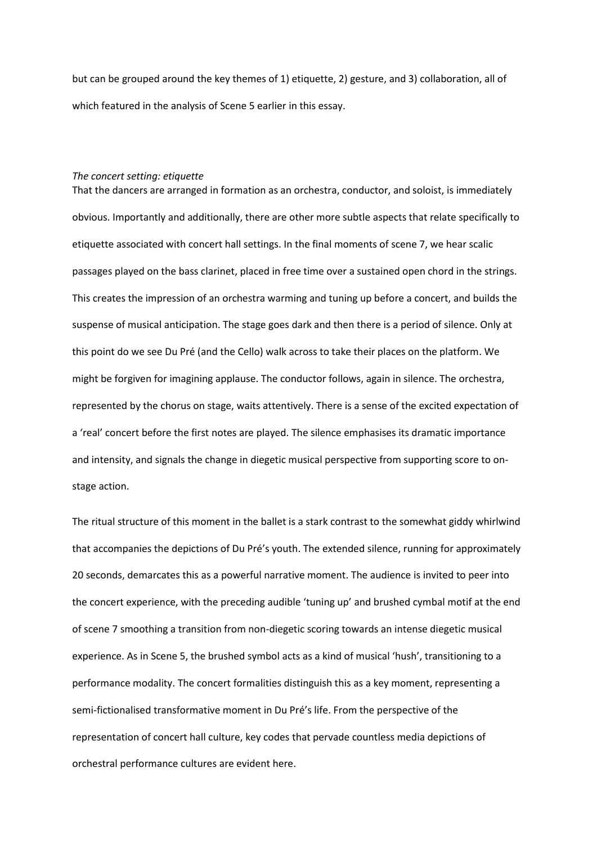but can be grouped around the key themes of 1) etiquette, 2) gesture, and 3) collaboration, all of which featured in the analysis of Scene 5 earlier in this essay.

#### *The concert setting: etiquette*

That the dancers are arranged in formation as an orchestra, conductor, and soloist, is immediately obvious. Importantly and additionally, there are other more subtle aspects that relate specifically to etiquette associated with concert hall settings. In the final moments of scene 7, we hear scalic passages played on the bass clarinet, placed in free time over a sustained open chord in the strings. This creates the impression of an orchestra warming and tuning up before a concert, and builds the suspense of musical anticipation. The stage goes dark and then there is a period of silence. Only at this point do we see Du Pré (and the Cello) walk across to take their places on the platform. We might be forgiven for imagining applause. The conductor follows, again in silence. The orchestra, represented by the chorus on stage, waits attentively. There is a sense of the excited expectation of a 'real' concert before the first notes are played. The silence emphasises its dramatic importance and intensity, and signals the change in diegetic musical perspective from supporting score to onstage action.

The ritual structure of this moment in the ballet is a stark contrast to the somewhat giddy whirlwind that accompanies the depictions of Du Pré's youth. The extended silence, running for approximately 20 seconds, demarcates this as a powerful narrative moment. The audience is invited to peer into the concert experience, with the preceding audible 'tuning up' and brushed cymbal motif at the end of scene 7 smoothing a transition from non-diegetic scoring towards an intense diegetic musical experience. As in Scene 5, the brushed symbol acts as a kind of musical 'hush', transitioning to a performance modality. The concert formalities distinguish this as a key moment, representing a semi-fictionalised transformative moment in Du Pré's life. From the perspective of the representation of concert hall culture, key codes that pervade countless media depictions of orchestral performance cultures are evident here.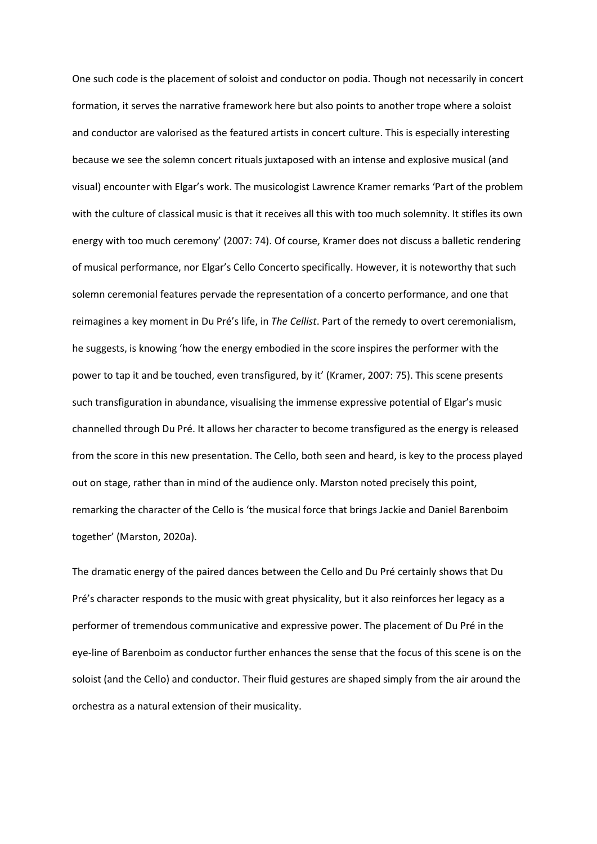One such code is the placement of soloist and conductor on podia. Though not necessarily in concert formation, it serves the narrative framework here but also points to another trope where a soloist and conductor are valorised as the featured artists in concert culture. This is especially interesting because we see the solemn concert rituals juxtaposed with an intense and explosive musical (and visual) encounter with Elgar's work. The musicologist Lawrence Kramer remarks 'Part of the problem with the culture of classical music is that it receives all this with too much solemnity. It stifles its own energy with too much ceremony' (2007: 74). Of course, Kramer does not discuss a balletic rendering of musical performance, nor Elgar's Cello Concerto specifically. However, it is noteworthy that such solemn ceremonial features pervade the representation of a concerto performance, and one that reimagines a key moment in Du Pré's life, in *The Cellist*. Part of the remedy to overt ceremonialism, he suggests, is knowing 'how the energy embodied in the score inspires the performer with the power to tap it and be touched, even transfigured, by it' (Kramer, 2007: 75). This scene presents such transfiguration in abundance, visualising the immense expressive potential of Elgar's music channelled through Du Pré. It allows her character to become transfigured as the energy is released from the score in this new presentation. The Cello, both seen and heard, is key to the process played out on stage, rather than in mind of the audience only. Marston noted precisely this point, remarking the character of the Cello is 'the musical force that brings Jackie and Daniel Barenboim together' (Marston, 2020a).

The dramatic energy of the paired dances between the Cello and Du Pré certainly shows that Du Pré's character responds to the music with great physicality, but it also reinforces her legacy as a performer of tremendous communicative and expressive power. The placement of Du Pré in the eye-line of Barenboim as conductor further enhances the sense that the focus of this scene is on the soloist (and the Cello) and conductor. Their fluid gestures are shaped simply from the air around the orchestra as a natural extension of their musicality.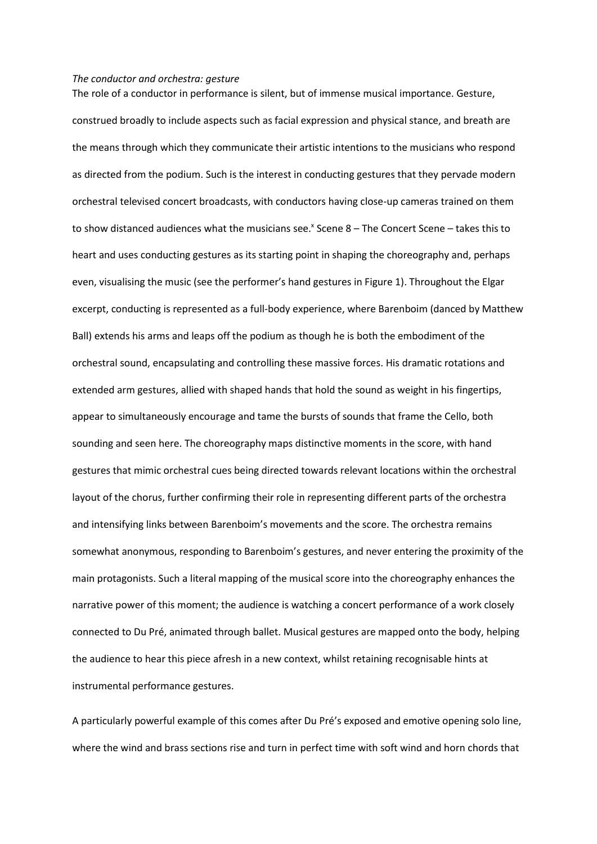### *The conductor and orchestra: gesture*

The role of a conductor in performance is silent, but of immense musical importance. Gesture,

construed broadly to include aspects such as facial expression and physical stance, and breath are the means through which they communicate their artistic intentions to the musicians who respond as directed from the podium. Such is the interest in conducting gestures that they pervade modern orchestral televised concert broadcasts, with conductors having close-up cameras trained on them to show distanced audiences what the musicians see.<sup>x</sup> Scene 8 - The Concert Scene - takes this to heart and uses conducting gestures as its starting point in shaping the choreography and, perhaps even, visualising the music (see the performer's hand gestures in Figure 1). Throughout the Elgar excerpt, conducting is represented as a full-body experience, where Barenboim (danced by Matthew Ball) extends his arms and leaps off the podium as though he is both the embodiment of the orchestral sound, encapsulating and controlling these massive forces. His dramatic rotations and extended arm gestures, allied with shaped hands that hold the sound as weight in his fingertips, appear to simultaneously encourage and tame the bursts of sounds that frame the Cello, both sounding and seen here. The choreography maps distinctive moments in the score, with hand gestures that mimic orchestral cues being directed towards relevant locations within the orchestral layout of the chorus, further confirming their role in representing different parts of the orchestra and intensifying links between Barenboim's movements and the score. The orchestra remains somewhat anonymous, responding to Barenboim's gestures, and never entering the proximity of the main protagonists. Such a literal mapping of the musical score into the choreography enhances the narrative power of this moment; the audience is watching a concert performance of a work closely connected to Du Pré, animated through ballet. Musical gestures are mapped onto the body, helping the audience to hear this piece afresh in a new context, whilst retaining recognisable hints at instrumental performance gestures.

A particularly powerful example of this comes after Du Pré's exposed and emotive opening solo line, where the wind and brass sections rise and turn in perfect time with soft wind and horn chords that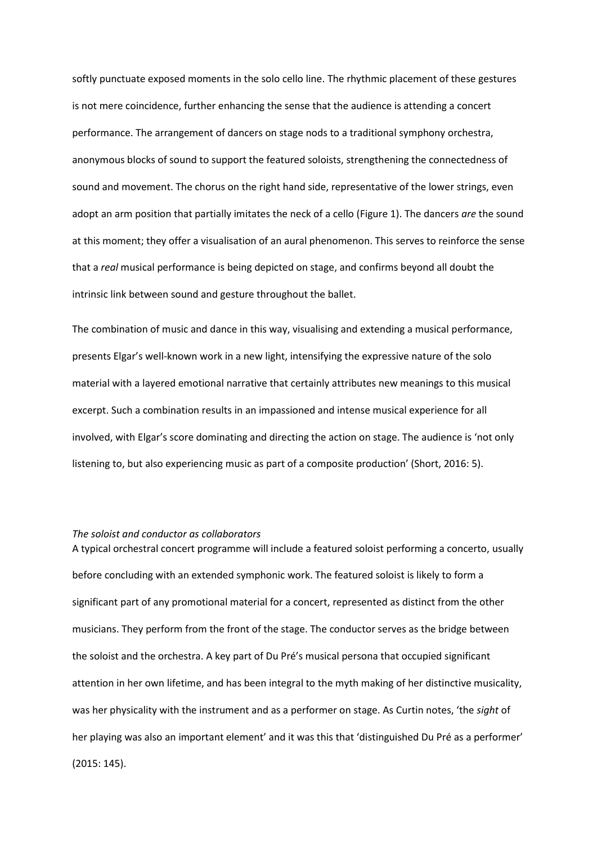softly punctuate exposed moments in the solo cello line. The rhythmic placement of these gestures is not mere coincidence, further enhancing the sense that the audience is attending a concert performance. The arrangement of dancers on stage nods to a traditional symphony orchestra, anonymous blocks of sound to support the featured soloists, strengthening the connectedness of sound and movement. The chorus on the right hand side, representative of the lower strings, even adopt an arm position that partially imitates the neck of a cello [\(Figure 1\)](#page-11-0). The dancers *are* the sound at this moment; they offer a visualisation of an aural phenomenon. This serves to reinforce the sense that a *real* musical performance is being depicted on stage, and confirms beyond all doubt the intrinsic link between sound and gesture throughout the ballet.

The combination of music and dance in this way, visualising and extending a musical performance, presents Elgar's well-known work in a new light, intensifying the expressive nature of the solo material with a layered emotional narrative that certainly attributes new meanings to this musical excerpt. Such a combination results in an impassioned and intense musical experience for all involved, with Elgar's score dominating and directing the action on stage. The audience is 'not only listening to, but also experiencing music as part of a composite production' (Short, 2016: 5).

### *The soloist and conductor as collaborators*

A typical orchestral concert programme will include a featured soloist performing a concerto, usually before concluding with an extended symphonic work. The featured soloist is likely to form a significant part of any promotional material for a concert, represented as distinct from the other musicians. They perform from the front of the stage. The conductor serves as the bridge between the soloist and the orchestra. A key part of Du Pré's musical persona that occupied significant attention in her own lifetime, and has been integral to the myth making of her distinctive musicality, was her physicality with the instrument and as a performer on stage. As Curtin notes, 'the *sight* of her playing was also an important element' and it was this that 'distinguished Du Pré as a performer' (2015: 145).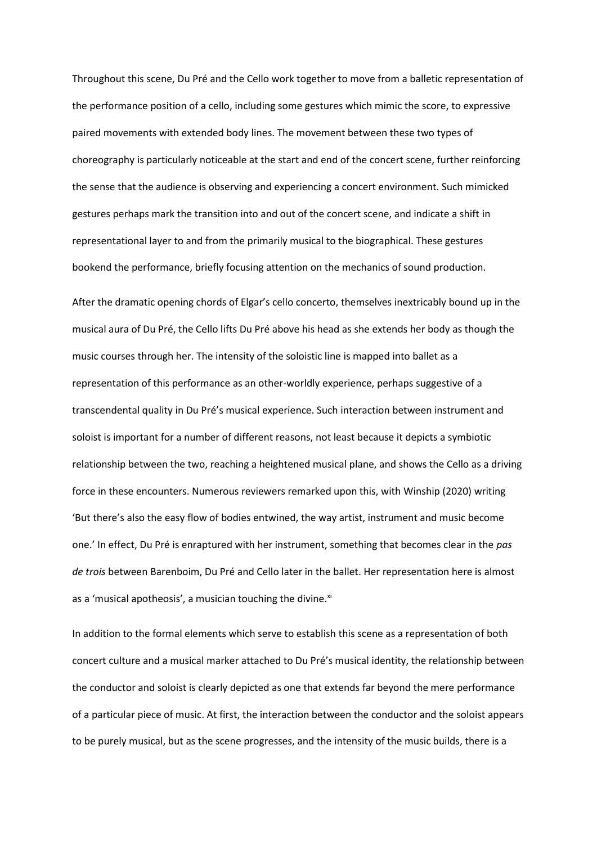Throughout this scene, Du Pré and the Cello work together to move from a balletic representation of the performance position of a cello, including some gestures which mimic the score, to expressive paired movements with extended body lines. The movement between these two types of choreography is particularly noticeable at the start and end of the concert scene, further reinforcing the sense that the audience is observing and experiencing a concert environment. Such mimicked gestures perhaps mark the transition into and out of the concert scene, and indicate a shift in representational layer to and from the primarily musical to the biographical. These gestures bookend the performance, briefly focusing attention on the mechanics of sound production.

After the dramatic opening chords of Elgar's cello concerto, themselves inextricably bound up in the musical aura of Du Pré, the Cello lifts Du Pré above his head as she extends her body as though the music courses through her. The intensity of the soloistic line is mapped into ballet as a representation of this performance as an other-worldly experience, perhaps suggestive of a transcendental quality in Du Pré's musical experience. Such interaction between instrument and soloist is important for a number of different reasons, not least because it depicts a symbiotic relationship between the two, reaching a heightened musical plane, and shows the Cello as a driving force in these encounters. Numerous reviewers remarked upon this, with Winship (2020) writing 'But there's also the easy flow of bodies entwined, the way artist, instrument and music become one.' In effect, Du Pré is enraptured with her instrument, something that becomes clear in the *pas de trois* between Barenboim, Du Pré and Cello later in the ballet. Her representation here is almost as a 'musical apotheosis', a musician touching the divine.<sup>xi</sup>

In addition to the formal elements which serve to establish this scene as a representation of both concert culture and a musical marker attached to Du Pré's musical identity, the relationship between the conductor and soloist is clearly depicted as one that extends far beyond the mere performance of a particular piece of music. At first, the interaction between the conductor and the soloist appears to be purely musical, but as the scene progresses, and the intensity of the music builds, there is a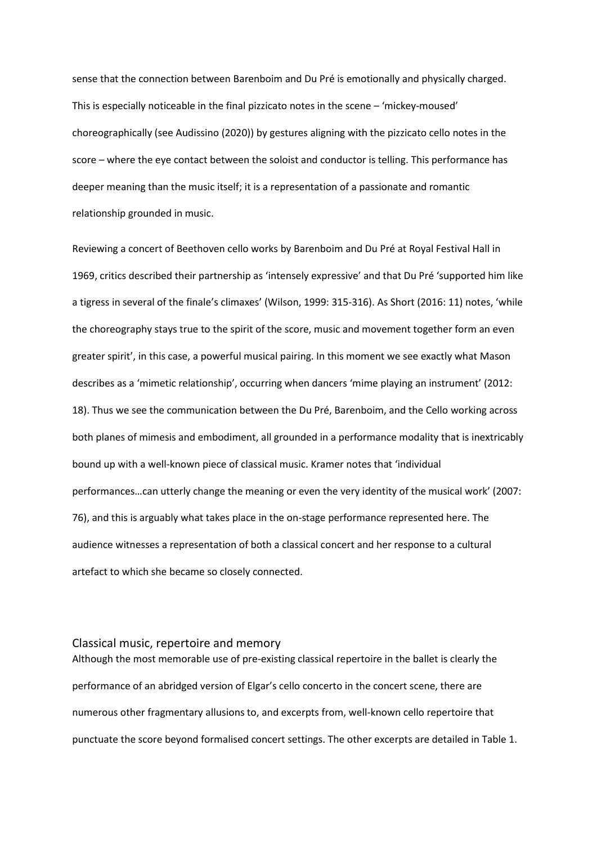sense that the connection between Barenboim and Du Pré is emotionally and physically charged. This is especially noticeable in the final pizzicato notes in the scene – 'mickey-moused' choreographically (see Audissino (2020)) by gestures aligning with the pizzicato cello notes in the score – where the eye contact between the soloist and conductor is telling. This performance has deeper meaning than the music itself; it is a representation of a passionate and romantic relationship grounded in music.

Reviewing a concert of Beethoven cello works by Barenboim and Du Pré at Royal Festival Hall in 1969, critics described their partnership as 'intensely expressive' and that Du Pré 'supported him like a tigress in several of the finale's climaxes' (Wilson, 1999: 315-316). As Short (2016: 11) notes, 'while the choreography stays true to the spirit of the score, music and movement together form an even greater spirit', in this case, a powerful musical pairing. In this moment we see exactly what Mason describes as a 'mimetic relationship', occurring when dancers 'mime playing an instrument' (2012: 18). Thus we see the communication between the Du Pré, Barenboim, and the Cello working across both planes of mimesis and embodiment, all grounded in a performance modality that is inextricably bound up with a well-known piece of classical music. Kramer notes that 'individual performances…can utterly change the meaning or even the very identity of the musical work' (2007: 76), and this is arguably what takes place in the on-stage performance represented here. The audience witnesses a representation of both a classical concert and her response to a cultural artefact to which she became so closely connected.

# Classical music, repertoire and memory

Although the most memorable use of pre-existing classical repertoire in the ballet is clearly the performance of an abridged version of Elgar's cello concerto in the concert scene, there are numerous other fragmentary allusions to, and excerpts from, well-known cello repertoire that punctuate the score beyond formalised concert settings. The other excerpts are detailed in Table 1.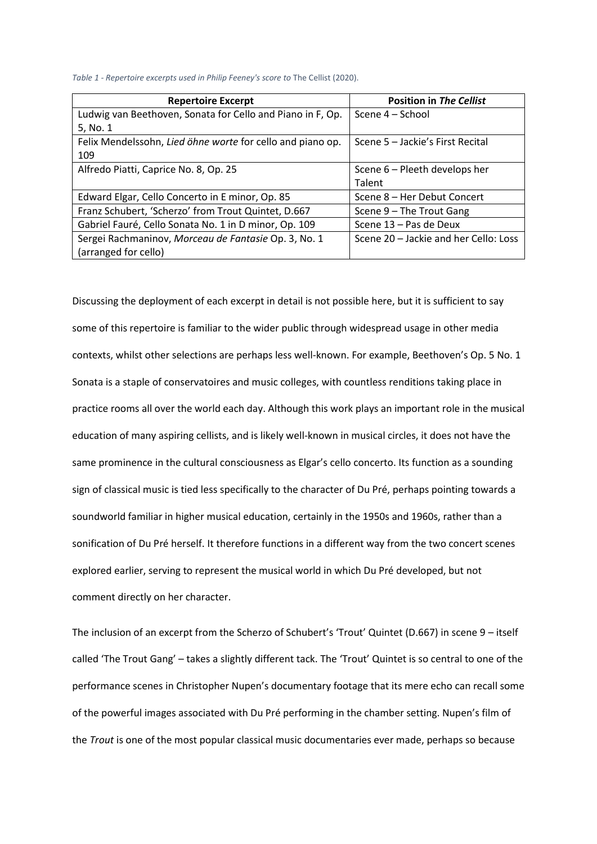*Table 1 - Repertoire excerpts used in Philip Feeney's score to* The Cellist (2020).

| <b>Repertoire Excerpt</b>                                  | <b>Position in The Cellist</b>        |
|------------------------------------------------------------|---------------------------------------|
| Ludwig van Beethoven, Sonata for Cello and Piano in F, Op. | Scene 4 – School                      |
| 5, No. 1                                                   |                                       |
| Felix Mendelssohn, Lied öhne worte for cello and piano op. | Scene 5 - Jackie's First Recital      |
| 109                                                        |                                       |
| Alfredo Piatti, Caprice No. 8, Op. 25                      | Scene 6 – Pleeth develops her         |
|                                                            | Talent                                |
| Edward Elgar, Cello Concerto in E minor, Op. 85            | Scene 8 - Her Debut Concert           |
| Franz Schubert, 'Scherzo' from Trout Quintet, D.667        | Scene 9 - The Trout Gang              |
| Gabriel Fauré, Cello Sonata No. 1 in D minor, Op. 109      | Scene 13 - Pas de Deux                |
| Sergei Rachmaninov, Morceau de Fantasie Op. 3, No. 1       | Scene 20 - Jackie and her Cello: Loss |
| (arranged for cello)                                       |                                       |

Discussing the deployment of each excerpt in detail is not possible here, but it is sufficient to say some of this repertoire is familiar to the wider public through widespread usage in other media contexts, whilst other selections are perhaps less well-known. For example, Beethoven's Op. 5 No. 1 Sonata is a staple of conservatoires and music colleges, with countless renditions taking place in practice rooms all over the world each day. Although this work plays an important role in the musical education of many aspiring cellists, and is likely well-known in musical circles, it does not have the same prominence in the cultural consciousness as Elgar's cello concerto. Its function as a sounding sign of classical music is tied less specifically to the character of Du Pré, perhaps pointing towards a soundworld familiar in higher musical education, certainly in the 1950s and 1960s, rather than a sonification of Du Pré herself. It therefore functions in a different way from the two concert scenes explored earlier, serving to represent the musical world in which Du Pré developed, but not comment directly on her character.

The inclusion of an excerpt from the Scherzo of Schubert's 'Trout' Quintet (D.667) in scene 9 – itself called 'The Trout Gang' – takes a slightly different tack. The 'Trout' Quintet is so central to one of the performance scenes in Christopher Nupen's documentary footage that its mere echo can recall some of the powerful images associated with Du Pré performing in the chamber setting. Nupen's film of the *Trout* is one of the most popular classical music documentaries ever made, perhaps so because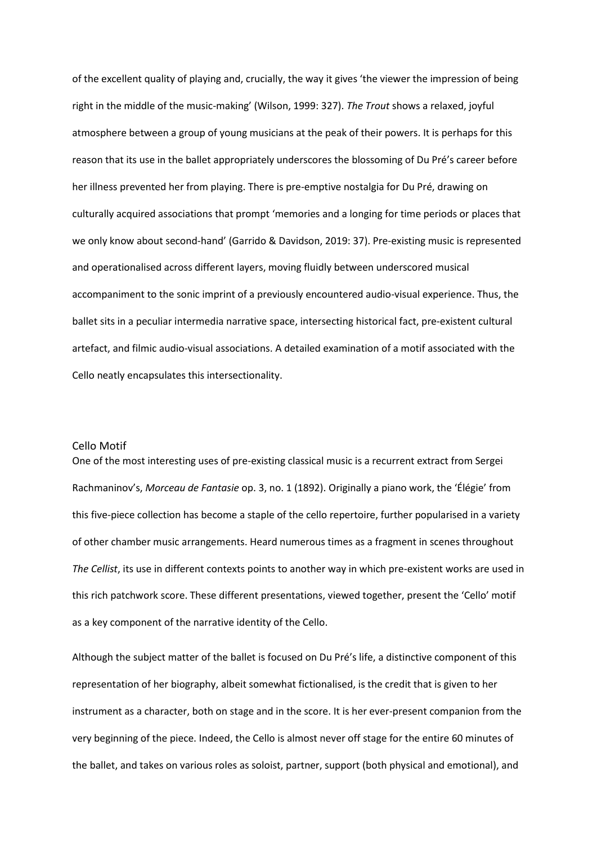of the excellent quality of playing and, crucially, the way it gives 'the viewer the impression of being right in the middle of the music-making' (Wilson, 1999: 327). *The Trout* shows a relaxed, joyful atmosphere between a group of young musicians at the peak of their powers. It is perhaps for this reason that its use in the ballet appropriately underscores the blossoming of Du Pré's career before her illness prevented her from playing. There is pre-emptive nostalgia for Du Pré, drawing on culturally acquired associations that prompt 'memories and a longing for time periods or places that we only know about second-hand' (Garrido & Davidson, 2019: 37). Pre-existing music is represented and operationalised across different layers, moving fluidly between underscored musical accompaniment to the sonic imprint of a previously encountered audio-visual experience. Thus, the ballet sits in a peculiar intermedia narrative space, intersecting historical fact, pre-existent cultural artefact, and filmic audio-visual associations. A detailed examination of a motif associated with the Cello neatly encapsulates this intersectionality.

## Cello Motif

One of the most interesting uses of pre-existing classical music is a recurrent extract from Sergei Rachmaninov's, *Morceau de Fantasie* op. 3, no. 1 (1892). Originally a piano work, the 'Élégie' from this five-piece collection has become a staple of the cello repertoire, further popularised in a variety of other chamber music arrangements. Heard numerous times as a fragment in scenes throughout *The Cellist*, its use in different contexts points to another way in which pre-existent works are used in this rich patchwork score. These different presentations, viewed together, present the 'Cello' motif as a key component of the narrative identity of the Cello.

Although the subject matter of the ballet is focused on Du Pré's life, a distinctive component of this representation of her biography, albeit somewhat fictionalised, is the credit that is given to her instrument as a character, both on stage and in the score. It is her ever-present companion from the very beginning of the piece. Indeed, the Cello is almost never off stage for the entire 60 minutes of the ballet, and takes on various roles as soloist, partner, support (both physical and emotional), and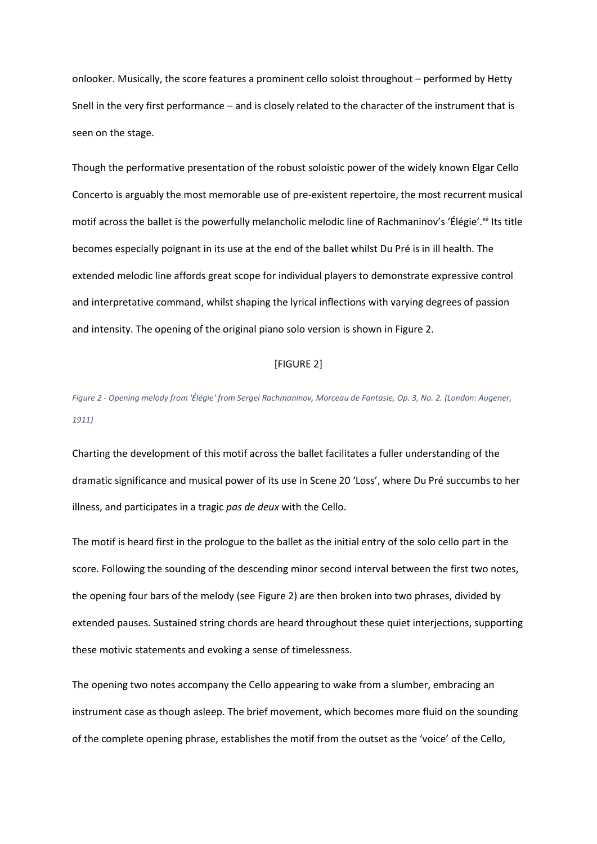onlooker. Musically, the score features a prominent cello soloist throughout – performed by Hetty Snell in the very first performance – and is closely related to the character of the instrument that is seen on the stage.

Though the performative presentation of the robust soloistic power of the widely known Elgar Cello Concerto is arguably the most memorable use of pre-existent repertoire, the most recurrent musical motif across the ballet is the powerfully melancholic melodic line of Rachmaninov's 'Élégie'.<sup>xii</sup> Its title becomes especially poignant in its use at the end of the ballet whilst Du Pré is in ill health. The extended melodic line affords great scope for individual players to demonstrate expressive control and interpretative command, whilst shaping the lyrical inflections with varying degrees of passion and intensity. The opening of the original piano solo version is shown in Figure 2.

## [FIGURE 2]

*Figure 2 - Opening melody from 'Élégie' from Sergei Rachmaninov, Morceau de Fantasie, Op. 3, No. 2. (London: Augener, 1911)*

Charting the development of this motif across the ballet facilitates a fuller understanding of the dramatic significance and musical power of its use in Scene 20 'Loss', where Du Pré succumbs to her illness, and participates in a tragic *pas de deux* with the Cello.

The motif is heard first in the prologue to the ballet as the initial entry of the solo cello part in the score. Following the sounding of the descending minor second interval between the first two notes, the opening four bars of the melody (see Figure 2) are then broken into two phrases, divided by extended pauses. Sustained string chords are heard throughout these quiet interjections, supporting these motivic statements and evoking a sense of timelessness.

The opening two notes accompany the Cello appearing to wake from a slumber, embracing an instrument case as though asleep. The brief movement, which becomes more fluid on the sounding of the complete opening phrase, establishes the motif from the outset as the 'voice' of the Cello,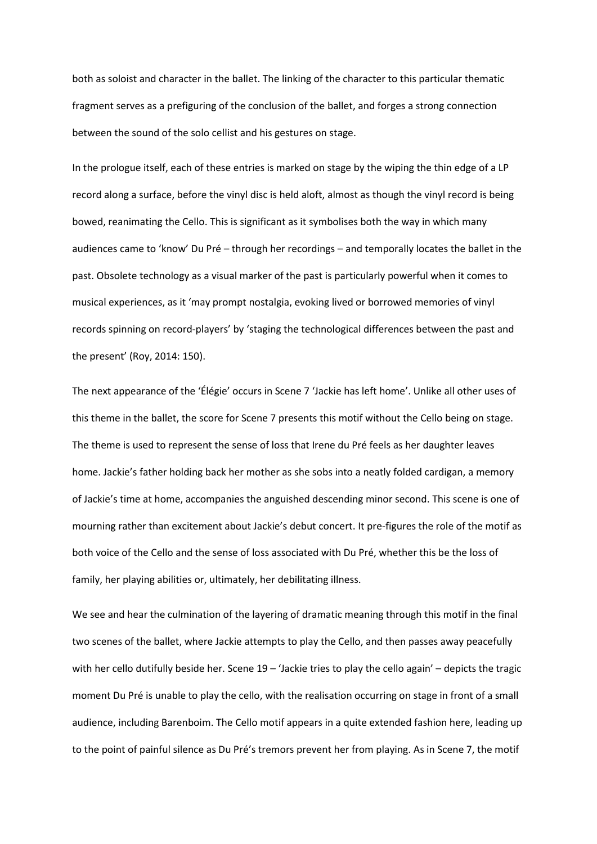both as soloist and character in the ballet. The linking of the character to this particular thematic fragment serves as a prefiguring of the conclusion of the ballet, and forges a strong connection between the sound of the solo cellist and his gestures on stage.

In the prologue itself, each of these entries is marked on stage by the wiping the thin edge of a LP record along a surface, before the vinyl disc is held aloft, almost as though the vinyl record is being bowed, reanimating the Cello. This is significant as it symbolises both the way in which many audiences came to 'know' Du Pré – through her recordings – and temporally locates the ballet in the past. Obsolete technology as a visual marker of the past is particularly powerful when it comes to musical experiences, as it 'may prompt nostalgia, evoking lived or borrowed memories of vinyl records spinning on record-players' by 'staging the technological differences between the past and the present' (Roy, 2014: 150).

The next appearance of the 'Élégie' occurs in Scene 7 'Jackie has left home'. Unlike all other uses of this theme in the ballet, the score for Scene 7 presents this motif without the Cello being on stage. The theme is used to represent the sense of loss that Irene du Pré feels as her daughter leaves home. Jackie's father holding back her mother as she sobs into a neatly folded cardigan, a memory of Jackie's time at home, accompanies the anguished descending minor second. This scene is one of mourning rather than excitement about Jackie's debut concert. It pre-figures the role of the motif as both voice of the Cello and the sense of loss associated with Du Pré, whether this be the loss of family, her playing abilities or, ultimately, her debilitating illness.

We see and hear the culmination of the layering of dramatic meaning through this motif in the final two scenes of the ballet, where Jackie attempts to play the Cello, and then passes away peacefully with her cello dutifully beside her. Scene 19 – 'Jackie tries to play the cello again' – depicts the tragic moment Du Pré is unable to play the cello, with the realisation occurring on stage in front of a small audience, including Barenboim. The Cello motif appears in a quite extended fashion here, leading up to the point of painful silence as Du Pré's tremors prevent her from playing. As in Scene 7, the motif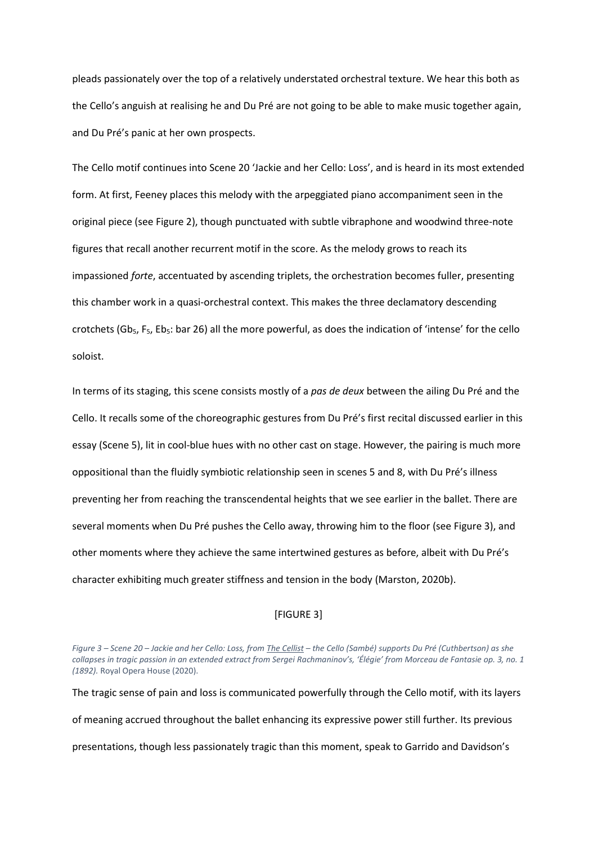pleads passionately over the top of a relatively understated orchestral texture. We hear this both as the Cello's anguish at realising he and Du Pré are not going to be able to make music together again, and Du Pré's panic at her own prospects.

The Cello motif continues into Scene 20 'Jackie and her Cello: Loss', and is heard in its most extended form. At first, Feeney places this melody with the arpeggiated piano accompaniment seen in the original piece (see Figure 2), though punctuated with subtle vibraphone and woodwind three-note figures that recall another recurrent motif in the score. As the melody grows to reach its impassioned *forte*, accentuated by ascending triplets, the orchestration becomes fuller, presenting this chamber work in a quasi-orchestral context. This makes the three declamatory descending crotchets (Gb<sub>5</sub>, F<sub>5</sub>, Eb<sub>5</sub>: bar 26) all the more powerful, as does the indication of 'intense' for the cello soloist.

In terms of its staging, this scene consists mostly of a *pas de deux* between the ailing Du Pré and the Cello. It recalls some of the choreographic gestures from Du Pré's first recital discussed earlier in this essay (Scene 5), lit in cool-blue hues with no other cast on stage. However, the pairing is much more oppositional than the fluidly symbiotic relationship seen in scenes 5 and 8, with Du Pré's illness preventing her from reaching the transcendental heights that we see earlier in the ballet. There are several moments when Du Pré pushes the Cello away, throwing him to the floor (see Figure 3), and other moments where they achieve the same intertwined gestures as before, albeit with Du Pré's character exhibiting much greater stiffness and tension in the body (Marston, 2020b).

# [FIGURE 3]

*Figure 3 – Scene 20 – Jackie and her Cello: Loss, from The Cellist – the Cello (Sambé) supports Du Pré (Cuthbertson) as she collapses in tragic passion in an extended extract from Sergei Rachmaninov's, 'Élégie' from Morceau de Fantasie op. 3, no. 1 (1892).* Royal Opera House (2020).

The tragic sense of pain and loss is communicated powerfully through the Cello motif, with its layers of meaning accrued throughout the ballet enhancing its expressive power still further. Its previous presentations, though less passionately tragic than this moment, speak to Garrido and Davidson's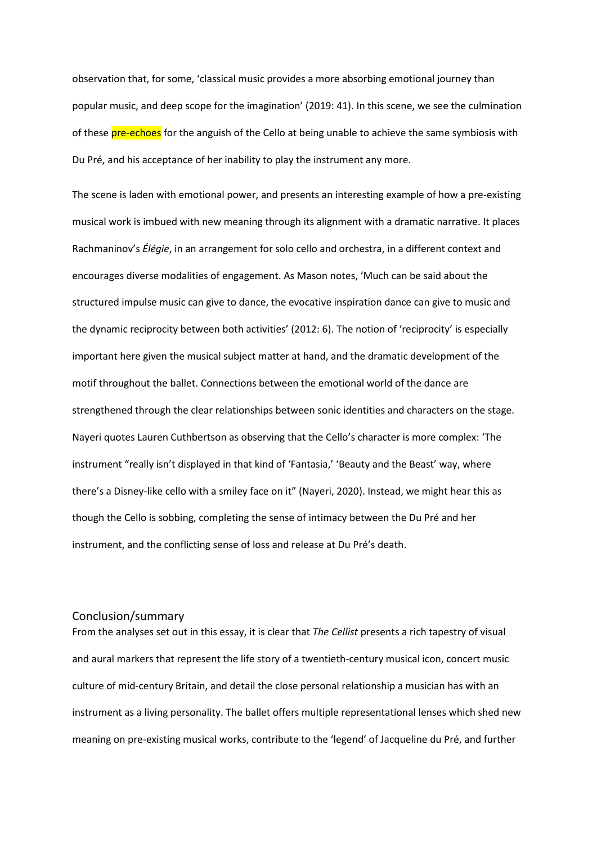observation that, for some, 'classical music provides a more absorbing emotional journey than popular music, and deep scope for the imagination' (2019: 41). In this scene, we see the culmination of these pre-echoes for the anguish of the Cello at being unable to achieve the same symbiosis with Du Pré, and his acceptance of her inability to play the instrument any more.

The scene is laden with emotional power, and presents an interesting example of how a pre-existing musical work is imbued with new meaning through its alignment with a dramatic narrative. It places Rachmaninov's *Élégie*, in an arrangement for solo cello and orchestra, in a different context and encourages diverse modalities of engagement. As Mason notes, 'Much can be said about the structured impulse music can give to dance, the evocative inspiration dance can give to music and the dynamic reciprocity between both activities' (2012: 6). The notion of 'reciprocity' is especially important here given the musical subject matter at hand, and the dramatic development of the motif throughout the ballet. Connections between the emotional world of the dance are strengthened through the clear relationships between sonic identities and characters on the stage. Nayeri quotes Lauren Cuthbertson as observing that the Cello's character is more complex: 'The instrument "really isn't displayed in that kind of 'Fantasia,' 'Beauty and the Beast' way, where there's a Disney-like cello with a smiley face on it" (Nayeri, 2020). Instead, we might hear this as though the Cello is sobbing, completing the sense of intimacy between the Du Pré and her instrument, and the conflicting sense of loss and release at Du Pré's death.

# Conclusion/summary

From the analyses set out in this essay, it is clear that *The Cellist* presents a rich tapestry of visual and aural markers that represent the life story of a twentieth-century musical icon, concert music culture of mid-century Britain, and detail the close personal relationship a musician has with an instrument as a living personality. The ballet offers multiple representational lenses which shed new meaning on pre-existing musical works, contribute to the 'legend' of Jacqueline du Pré, and further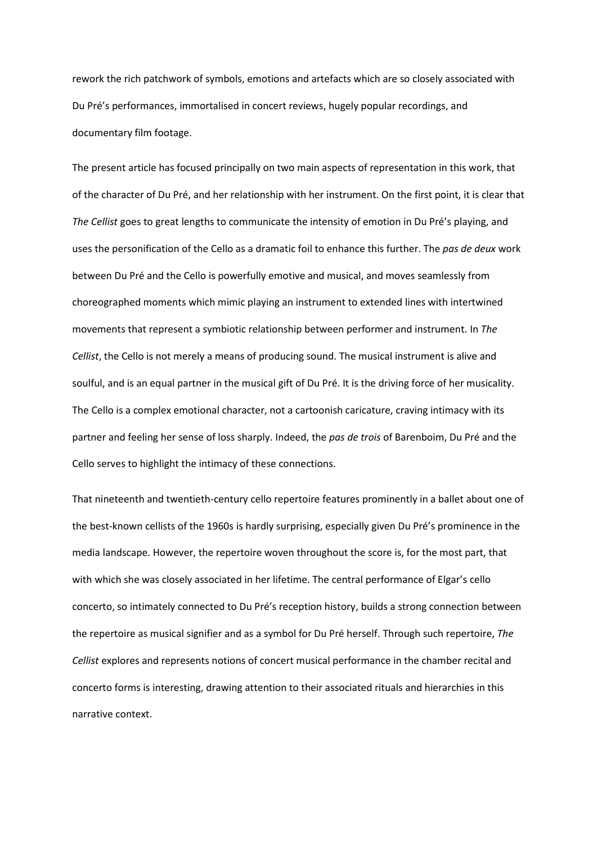rework the rich patchwork of symbols, emotions and artefacts which are so closely associated with Du Pré's performances, immortalised in concert reviews, hugely popular recordings, and documentary film footage.

The present article has focused principally on two main aspects of representation in this work, that of the character of Du Pré, and her relationship with her instrument. On the first point, it is clear that *The Cellist* goes to great lengths to communicate the intensity of emotion in Du Pré's playing, and uses the personification of the Cello as a dramatic foil to enhance this further. The *pas de deux* work between Du Pré and the Cello is powerfully emotive and musical, and moves seamlessly from choreographed moments which mimic playing an instrument to extended lines with intertwined movements that represent a symbiotic relationship between performer and instrument. In *The Cellist*, the Cello is not merely a means of producing sound. The musical instrument is alive and soulful, and is an equal partner in the musical gift of Du Pré. It is the driving force of her musicality. The Cello is a complex emotional character, not a cartoonish caricature, craving intimacy with its partner and feeling her sense of loss sharply. Indeed, the *pas de trois* of Barenboim, Du Pré and the Cello serves to highlight the intimacy of these connections.

That nineteenth and twentieth-century cello repertoire features prominently in a ballet about one of the best-known cellists of the 1960s is hardly surprising, especially given Du Pré's prominence in the media landscape. However, the repertoire woven throughout the score is, for the most part, that with which she was closely associated in her lifetime. The central performance of Elgar's cello concerto, so intimately connected to Du Pré's reception history, builds a strong connection between the repertoire as musical signifier and as a symbol for Du Pré herself. Through such repertoire, *The Cellist* explores and represents notions of concert musical performance in the chamber recital and concerto forms is interesting, drawing attention to their associated rituals and hierarchies in this narrative context.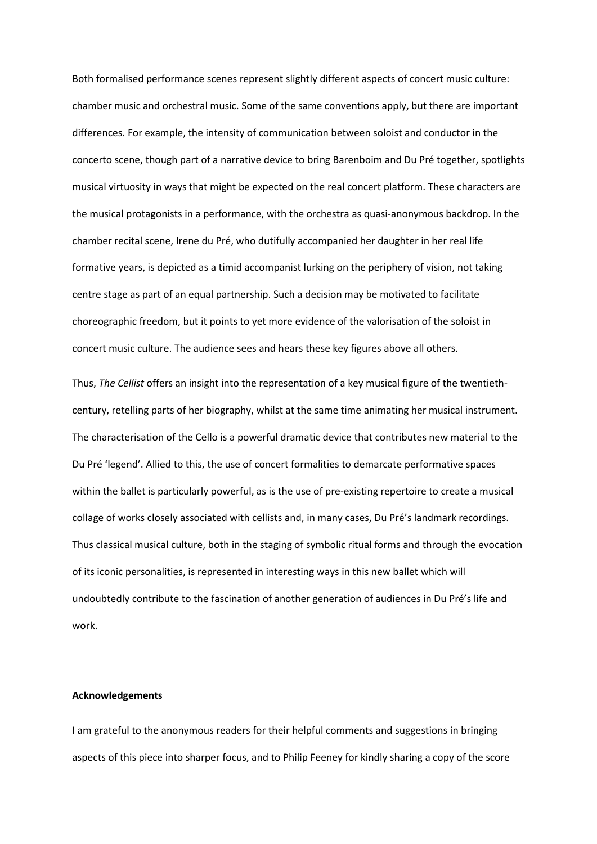Both formalised performance scenes represent slightly different aspects of concert music culture: chamber music and orchestral music. Some of the same conventions apply, but there are important differences. For example, the intensity of communication between soloist and conductor in the concerto scene, though part of a narrative device to bring Barenboim and Du Pré together, spotlights musical virtuosity in ways that might be expected on the real concert platform. These characters are the musical protagonists in a performance, with the orchestra as quasi-anonymous backdrop. In the chamber recital scene, Irene du Pré, who dutifully accompanied her daughter in her real life formative years, is depicted as a timid accompanist lurking on the periphery of vision, not taking centre stage as part of an equal partnership. Such a decision may be motivated to facilitate choreographic freedom, but it points to yet more evidence of the valorisation of the soloist in concert music culture. The audience sees and hears these key figures above all others.

Thus, *The Cellist* offers an insight into the representation of a key musical figure of the twentiethcentury, retelling parts of her biography, whilst at the same time animating her musical instrument. The characterisation of the Cello is a powerful dramatic device that contributes new material to the Du Pré 'legend'. Allied to this, the use of concert formalities to demarcate performative spaces within the ballet is particularly powerful, as is the use of pre-existing repertoire to create a musical collage of works closely associated with cellists and, in many cases, Du Pré's landmark recordings. Thus classical musical culture, both in the staging of symbolic ritual forms and through the evocation of its iconic personalities, is represented in interesting ways in this new ballet which will undoubtedly contribute to the fascination of another generation of audiences in Du Pré's life and work.

## **Acknowledgements**

I am grateful to the anonymous readers for their helpful comments and suggestions in bringing aspects of this piece into sharper focus, and to Philip Feeney for kindly sharing a copy of the score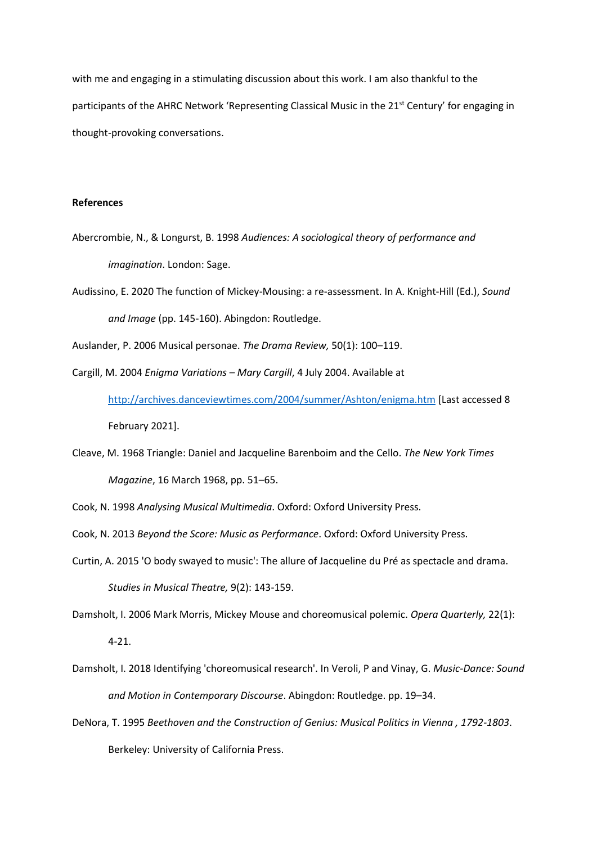with me and engaging in a stimulating discussion about this work. I am also thankful to the participants of the AHRC Network 'Representing Classical Music in the  $21^{st}$  Century' for engaging in thought-provoking conversations.

# **References**

- Abercrombie, N., & Longurst, B. 1998 *Audiences: A sociological theory of performance and imagination*. London: Sage.
- Audissino, E. 2020 The function of Mickey-Mousing: a re-assessment. In A. Knight-Hill (Ed.), *Sound and Image* (pp. 145-160). Abingdon: Routledge.

Auslander, P. 2006 Musical personae. *The Drama Review,* 50(1): 100–119.

- Cargill, M. 2004 *Enigma Variations – Mary Cargill*, 4 July 2004. Available at <http://archives.danceviewtimes.com/2004/summer/Ashton/enigma.htm> [Last accessed 8 February 2021].
- Cleave, M. 1968 Triangle: Daniel and Jacqueline Barenboim and the Cello. *The New York Times Magazine*, 16 March 1968, pp. 51–65.
- Cook, N. 1998 *Analysing Musical Multimedia*. Oxford: Oxford University Press.
- Cook, N. 2013 *Beyond the Score: Music as Performance*. Oxford: Oxford University Press.
- Curtin, A. 2015 'O body swayed to music': The allure of Jacqueline du Pré as spectacle and drama. *Studies in Musical Theatre,* 9(2): 143-159.

Damsholt, I. 2006 Mark Morris, Mickey Mouse and choreomusical polemic. *Opera Quarterly,* 22(1):

4-21.

- Damsholt, I. 2018 Identifying 'choreomusical research'. In Veroli, P and Vinay, G. *Music-Dance: Sound and Motion in Contemporary Discourse*. Abingdon: Routledge. pp. 19–34.
- DeNora, T. 1995 *Beethoven and the Construction of Genius: Musical Politics in Vienna , 1792-1803*. Berkeley: University of California Press.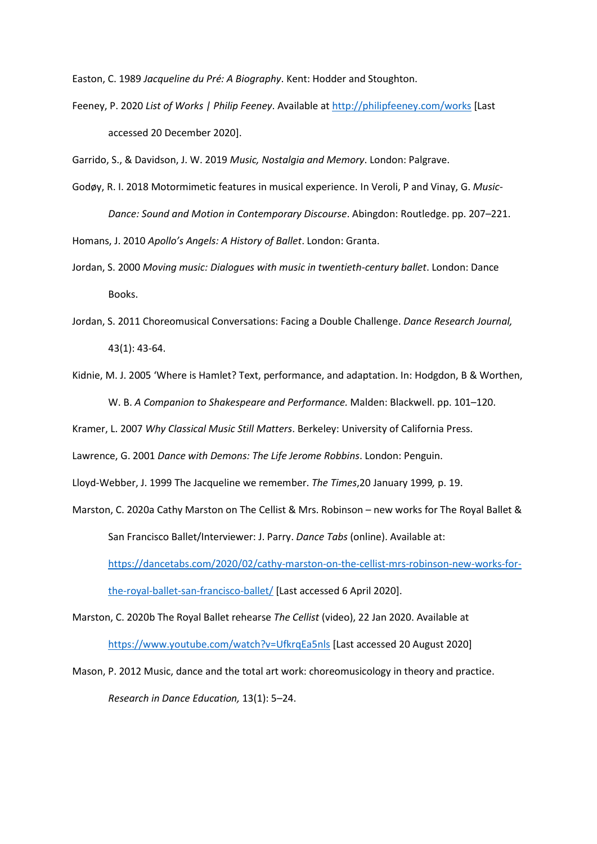Easton, C. 1989 *Jacqueline du Pré: A Biography*. Kent: Hodder and Stoughton.

- Feeney, P. 2020 *List of Works | Philip Feeney*. Available at<http://philipfeeney.com/works> [Last accessed 20 December 2020].
- Garrido, S., & Davidson, J. W. 2019 *Music, Nostalgia and Memory*. London: Palgrave.
- Godøy, R. I. 2018 Motormimetic features in musical experience. In Veroli, P and Vinay, G. *Music-Dance: Sound and Motion in Contemporary Discourse*. Abingdon: Routledge. pp. 207–221.

Homans, J. 2010 *Apollo's Angels: A History of Ballet*. London: Granta.

- Jordan, S. 2000 *Moving music: Dialogues with music in twentieth-century ballet*. London: Dance Books.
- Jordan, S. 2011 Choreomusical Conversations: Facing a Double Challenge. *Dance Research Journal,*  43(1): 43-64.
- Kidnie, M. J. 2005 'Where is Hamlet? Text, performance, and adaptation. In: Hodgdon, B & Worthen, W. B. *A Companion to Shakespeare and Performance.* Malden: Blackwell. pp. 101–120.
- Kramer, L. 2007 *Why Classical Music Still Matters*. Berkeley: University of California Press.

Lawrence, G. 2001 *Dance with Demons: The Life Jerome Robbins*. London: Penguin.

Lloyd-Webber, J. 1999 The Jacqueline we remember. *The Times*,20 January 1999*,* p. 19.

- Marston, C. 2020a Cathy Marston on The Cellist & Mrs. Robinson new works for The Royal Ballet & San Francisco Ballet/Interviewer: J. Parry. *Dance Tabs* (online). Available at: [https://dancetabs.com/2020/02/cathy-marston-on-the-cellist-mrs-robinson-new-works-for](https://dancetabs.com/2020/02/cathy-marston-on-the-cellist-mrs-robinson-new-works-for-the-royal-ballet-san-francisco-ballet/)[the-royal-ballet-san-francisco-ballet/](https://dancetabs.com/2020/02/cathy-marston-on-the-cellist-mrs-robinson-new-works-for-the-royal-ballet-san-francisco-ballet/) [Last accessed 6 April 2020].
- Marston, C. 2020b The Royal Ballet rehearse *The Cellist* (video), 22 Jan 2020. Available at <https://www.youtube.com/watch?v=UfkrqEa5nls> [Last accessed 20 August 2020]
- Mason, P. 2012 Music, dance and the total art work: choreomusicology in theory and practice. *Research in Dance Education,* 13(1): 5–24.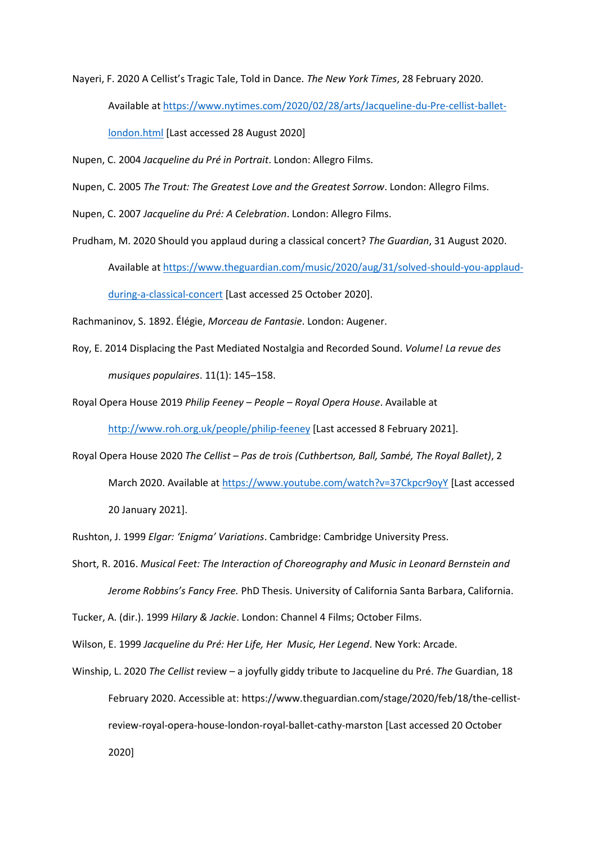Nayeri, F. 2020 A Cellist's Tragic Tale, Told in Dance. *The New York Times*, 28 February 2020.

Available at [https://www.nytimes.com/2020/02/28/arts/Jacqueline-du-Pre-cellist-ballet-](https://www.nytimes.com/2020/02/28/arts/Jacqueline-du-Pre-cellist-ballet-london.html)

[london.html](https://www.nytimes.com/2020/02/28/arts/Jacqueline-du-Pre-cellist-ballet-london.html) [Last accessed 28 August 2020]

Nupen, C. 2004 *Jacqueline du Pré in Portrait*. London: Allegro Films.

Nupen, C. 2005 *The Trout: The Greatest Love and the Greatest Sorrow*. London: Allegro Films.

Nupen, C. 2007 *Jacqueline du Pré: A Celebration*. London: Allegro Films.

Prudham, M. 2020 Should you applaud during a classical concert? *The Guardian*, 31 August 2020.

Available a[t https://www.theguardian.com/music/2020/aug/31/solved-should-you-applaud-](https://www.theguardian.com/music/2020/aug/31/solved-should-you-applaud-during-a-classical-concert)

[during-a-classical-concert](https://www.theguardian.com/music/2020/aug/31/solved-should-you-applaud-during-a-classical-concert) [Last accessed 25 October 2020].

Rachmaninov, S. 1892. Élégie, *Morceau de Fantasie*. London: Augener.

Roy, E. 2014 Displacing the Past Mediated Nostalgia and Recorded Sound. *Volume! La revue des musiques populaires*. 11(1): 145–158.

Royal Opera House 2019 *Philip Feeney – People – Royal Opera House*. Available at <http://www.roh.org.uk/people/philip-feeney> [Last accessed 8 February 2021].

Royal Opera House 2020 *The Cellist – Pas de trois (Cuthbertson, Ball, Sambé, The Royal Ballet)*, 2 March 2020. Available a[t https://www.youtube.com/watch?v=37Ckpcr9oyY](https://www.youtube.com/watch?v=37Ckpcr9oyY) [Last accessed 20 January 2021].

Rushton, J. 1999 *Elgar: 'Enigma' Variations*. Cambridge: Cambridge University Press.

Short, R. 2016. *Musical Feet: The Interaction of Choreography and Music in Leonard Bernstein and Jerome Robbins's Fancy Free.* PhD Thesis. University of California Santa Barbara, California.

Tucker, A. (dir.). 1999 *Hilary & Jackie*. London: Channel 4 Films; October Films.

Wilson, E. 1999 *Jacqueline du Pré: Her Life, Her Music, Her Legend*. New York: Arcade.

Winship, L. 2020 *The Cellist* review – a joyfully giddy tribute to Jacqueline du Pré. *The* Guardian, 18 February 2020. Accessible at: https://www.theguardian.com/stage/2020/feb/18/the-cellistreview-royal-opera-house-london-royal-ballet-cathy-marston [Last accessed 20 October 2020]